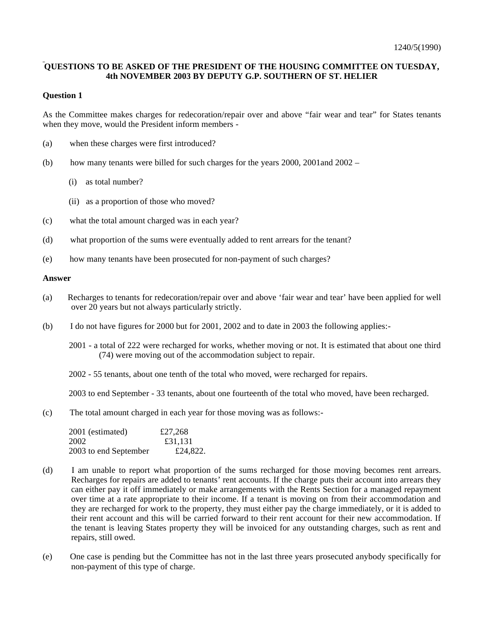## **QUESTIONS TO BE ASKED OF THE PRESIDENT OF THE HOUSING COMMITTEE ON TUESDAY, 4th NOVEMBER 2003 BY DEPUTY G.P. SOUTHERN OF ST. HELIER**

### **Question 1**

As the Committee makes charges for redecoration/repair over and above "fair wear and tear" for States tenants when they move, would the President inform members -

- (a) when these charges were first introduced?
- (b) how many tenants were billed for such charges for the years 2000, 2001and 2002
	- (i) as total number?
	- (ii) as a proportion of those who moved?
- (c) what the total amount charged was in each year?
- (d) what proportion of the sums were eventually added to rent arrears for the tenant?
- (e) how many tenants have been prosecuted for non-payment of such charges?

#### **Answer**

- (a) Recharges to tenants for redecoration/repair over and above 'fair wear and tear' have been applied for well over 20 years but not always particularly strictly.
- (b) I do not have figures for 2000 but for 2001, 2002 and to date in 2003 the following applies:-
	- 2001 a total of 222 were recharged for works, whether moving or not. It is estimated that about one third (74) were moving out of the accommodation subject to repair.
	- 2002 55 tenants, about one tenth of the total who moved, were recharged for repairs.

2003 to end September - 33 tenants, about one fourteenth of the total who moved, have been recharged.

(c) The total amount charged in each year for those moving was as follows:-

| 2001 (estimated)      | £27,268  |
|-----------------------|----------|
| 2002                  | £31.131  |
| 2003 to end September | £24,822. |

- (d) I am unable to report what proportion of the sums recharged for those moving becomes rent arrears. Recharges for repairs are added to tenants' rent accounts. If the charge puts their account into arrears they can either pay it off immediately or make arrangements with the Rents Section for a managed repayment over time at a rate appropriate to their income. If a tenant is moving on from their accommodation and they are recharged for work to the property, they must either pay the charge immediately, or it is added to their rent account and this will be carried forward to their rent account for their new accommodation. If the tenant is leaving States property they will be invoiced for any outstanding charges, such as rent and repairs, still owed.
- (e) One case is pending but the Committee has not in the last three years prosecuted anybody specifically for non-payment of this type of charge.